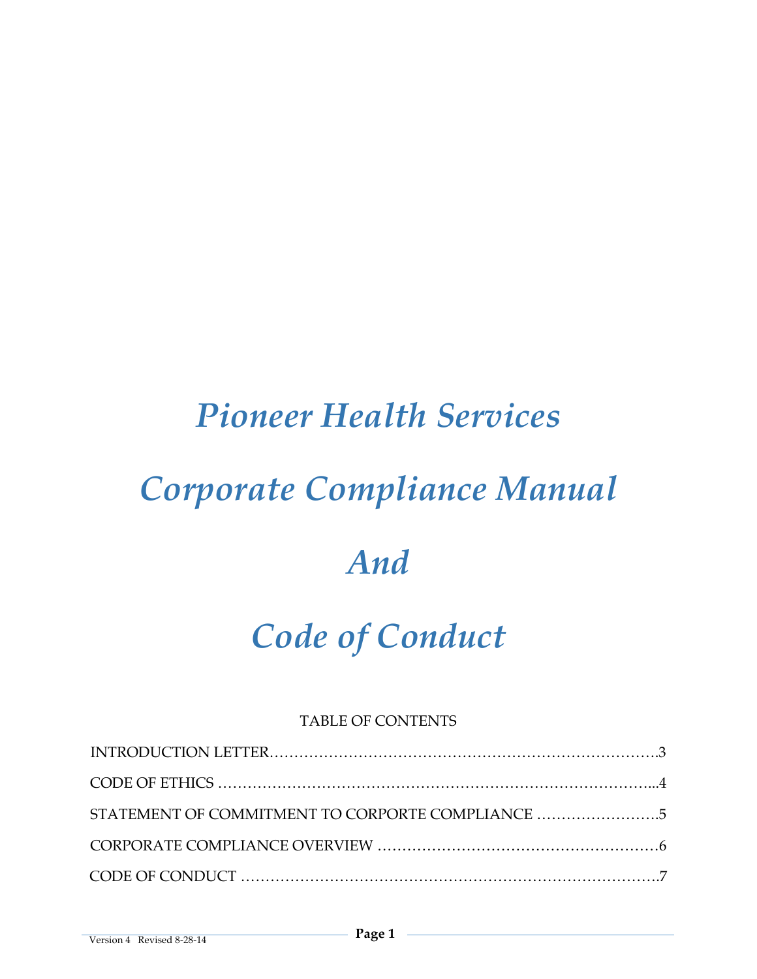# *Pioneer Health Services*

# *Corporate Compliance Manual*

# *And*

# *Code of Conduct*

# TABLE OF CONTENTS

| STATEMENT OF COMMITMENT TO CORPORTE COMPLIANCE 5 |  |
|--------------------------------------------------|--|
|                                                  |  |
|                                                  |  |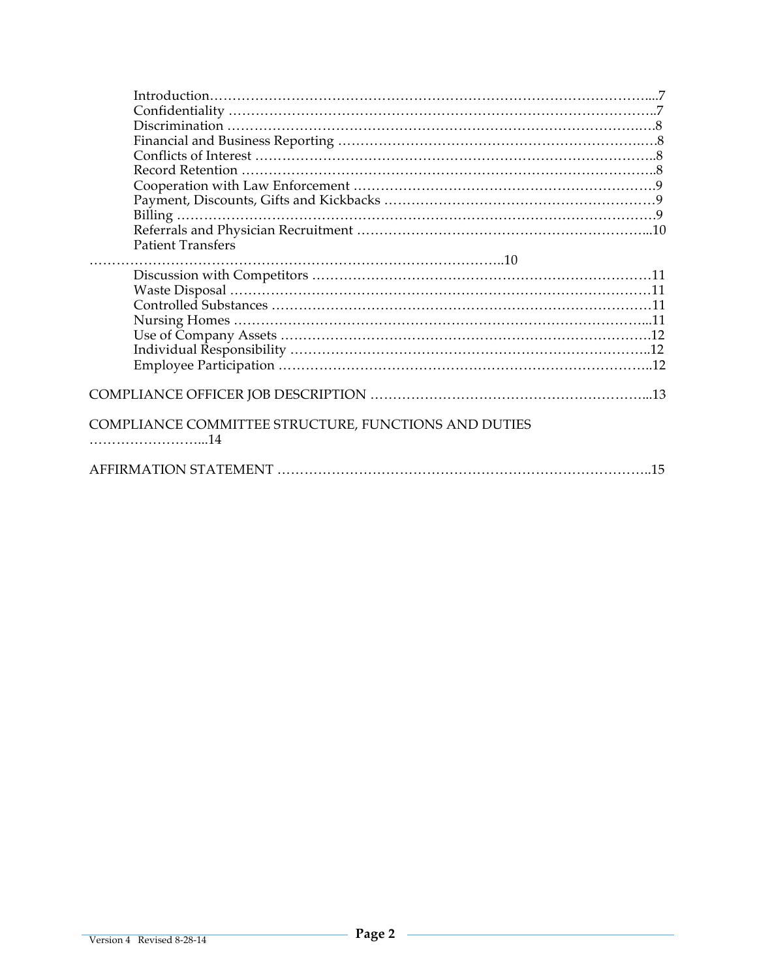| <b>Patient Transfers</b>                                    |    |
|-------------------------------------------------------------|----|
|                                                             |    |
|                                                             |    |
|                                                             |    |
|                                                             |    |
|                                                             |    |
|                                                             |    |
|                                                             |    |
|                                                             |    |
| <b>COMPLIANCE COMMITTEE STRUCTURE, FUNCTIONS AND DUTIES</b> |    |
|                                                             | 15 |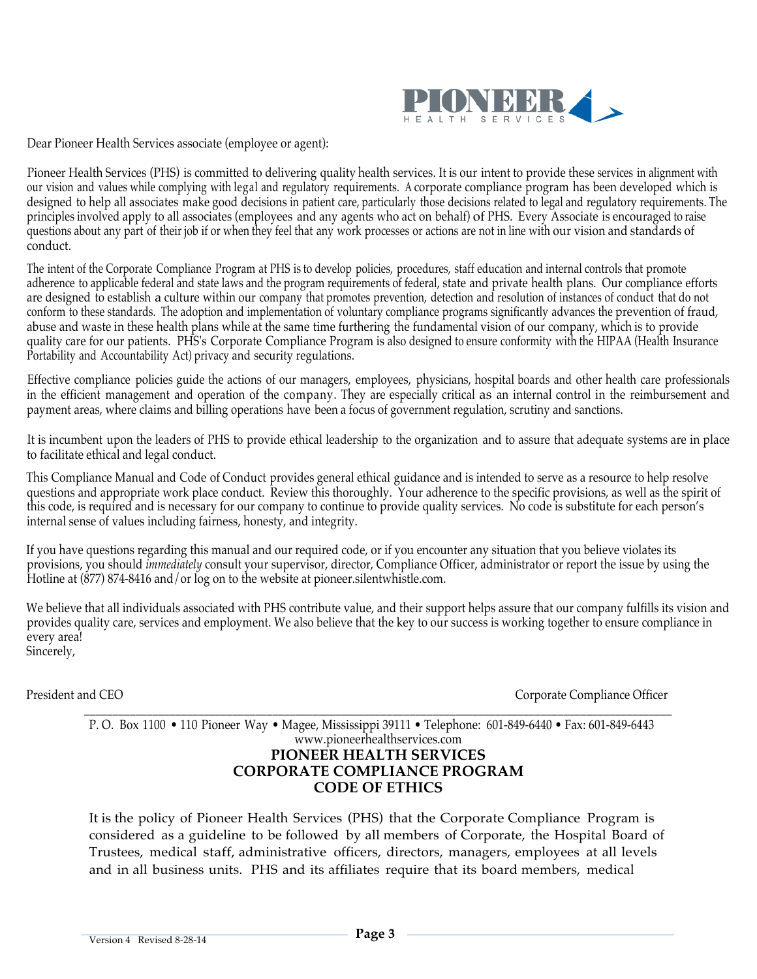

Dear Pioneer Health Services associate (employee or agent):

Pioneer Health Services (PHS) is committed to delivering quality health services. It is our intent to provide these services in alignment with our vision and values while complying with legal and regulatory requirements. A corporate compliance program has been developed which is designed to help all associates make good decisions in patient care, particularly those decisions related to legal and regulatory requirements. The principles involved apply to all associates (employees and any agents who act on behalf) of PHS. Every Associate is encouraged to raise questions about any part of their job if or when they feel that any work processes or actions are not in line with our vision and standards of conduct.

The intent of the Corporate Compliance Program at PHS is to develop policies, procedures, staff education and internal controls that promote adherence to applicable federal and state laws and the program requirements of federal, state and private health plans. Our compliance efforts are designed to establish a culture within our company that promotes prevention, detection and resolution of instances of conduct that do not conform to these standards. The adoption and implementation of voluntary compliance programs significantly advances the prevention of fraud, abuse and waste in these health plans while at the same time furthering the fundamental vision of our company, which is to provide quality care for our patients. PHS's Corporate Compliance Program is also designed to ensure conformity with the HIPAA (Health Insurance Portability and Accountability Act) privacy and security regulations.

Effective compliance policies guide the actions of our managers, employees, physicians, hospital boards and other health care professionals in the efficient management and operation of the company. They are especially critical as an internal control in the reimbursement and payment areas, where claims and billing operations have been a focus of government regulation, scrutiny and sanctions.

It is incumbent upon the leaders of PHS to provide ethical leadership to the organization and to assure that adequate systems are in place to facilitate ethical and legal conduct.

This Compliance Manual and Code of Conduct provides general ethical guidance and is intended to serve as a resource to help resolve questions and appropriate work place conduct. Review this thoroughly. Your adherence to the specific provisions, as well as the spirit of this code, is required and is necessary for our company to continue to provide quality services. No code is substitute for each person's internal sense of values including fairness, honesty, and integrity.

If you have questions regarding this manual and our required code, or if you encounter any situation that you believe violates its provisions, you should *immediately* consult your supervisor, director, Compliance Officer, administrator or report the issue by using the Hotline at (877) 874-8416 and/or log on to the website at pioneer.silentwhistle.com.

We believe that all individuals associated with PHS contribute value, and their support helps assure that our company fulfills its vision and provides quality care, services and employment. We also believe that the key to our success is working together to ensure compliance in every area! Sincerely,

President and CEO **Corporate Compliance Officer** Corporate Compliance Officer

\_\_\_\_\_\_\_\_\_\_\_\_\_\_\_\_\_\_\_\_\_\_\_\_\_\_\_\_\_\_\_\_\_\_\_\_\_\_\_\_\_\_\_\_\_\_\_\_\_\_\_\_\_\_\_\_\_\_\_\_\_\_\_\_\_\_\_\_\_\_\_\_\_\_\_\_\_\_\_\_\_\_\_\_\_\_\_\_\_\_\_\_\_\_\_\_\_\_\_\_\_\_\_ P. O. Box 1100 • 110 Pioneer Way • Magee, Mississippi 39111 • Telephone: 601-849-6440 • Fax: 601-849-6443 www.pioneerhealthservices.com **PIONEER HEALTH SERVICES CORPORATE COMPLIANCE PROGRAM CODE OF ETHICS**

It is the policy of Pioneer Health Services (PHS) that the Corporate Compliance Program is considered as a guideline to be followed by all members of Corporate, the Hospital Board of Trustees, medical staff, administrative officers, directors, managers, employees at all levels and in all business units. PHS and its affiliates require that its board members, medical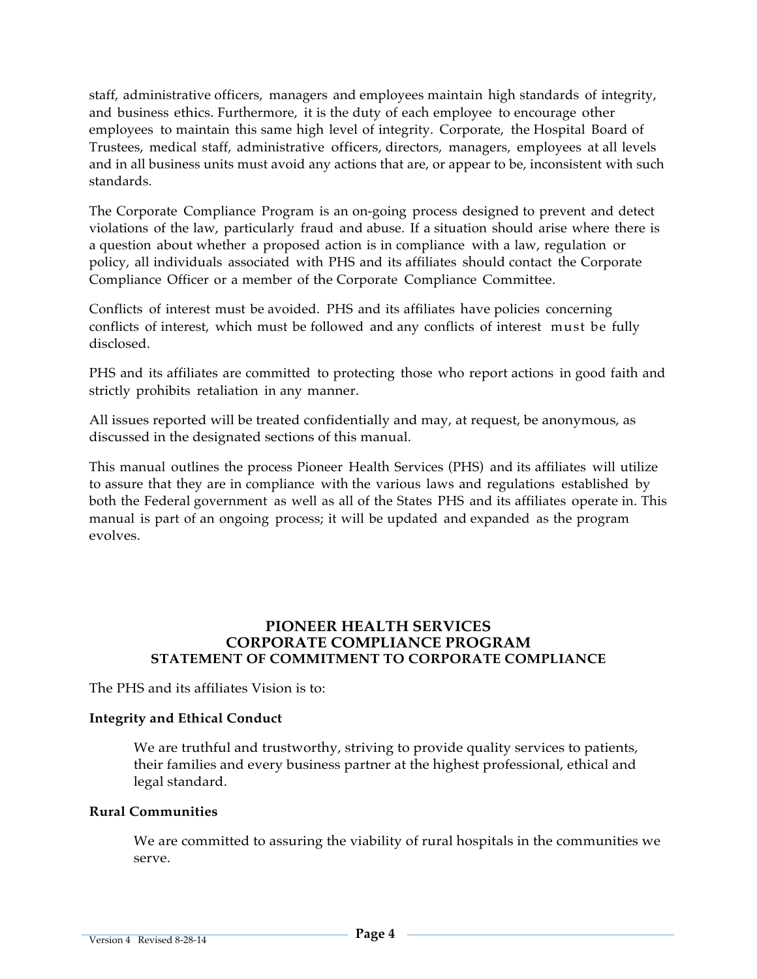staff, administrative officers, managers and employees maintain high standards of integrity, and business ethics. Furthermore, it is the duty of each employee to encourage other employees to maintain this same high level of integrity. Corporate, the Hospital Board of Trustees, medical staff, administrative officers, directors, managers, employees at all levels and in all business units must avoid any actions that are, or appear to be, inconsistent with such standards.

The Corporate Compliance Program is an on-going process designed to prevent and detect violations of the law, particularly fraud and abuse. If a situation should arise where there is a question about whether a proposed action is in compliance with a law, regulation or policy, all individuals associated with PHS and its affiliates should contact the Corporate Compliance Officer or a member of the Corporate Compliance Committee.

Conflicts of interest must be avoided. PHS and its affiliates have policies concerning conflicts of interest, which must be followed and any conflicts of interest must be fully disclosed.

PHS and its affiliates are committed to protecting those who report actions in good faith and strictly prohibits retaliation in any manner.

All issues reported will be treated confidentially and may, at request, be anonymous, as discussed in the designated sections of this manual.

This manual outlines the process Pioneer Health Services (PHS) and its affiliates will utilize to assure that they are in compliance with the various laws and regulations established by both the Federal government as well as all of the States PHS and its affiliates operate in. This manual is part of an ongoing process; it will be updated and expanded as the program evolves.

#### **PIONEER HEALTH SERVICES CORPORATE COMPLIANCE PROGRAM STATEMENT OF COMMITMENT TO CORPORATE COMPLIANCE**

The PHS and its affiliates Vision is to:

#### **Integrity and Ethical Conduct**

We are truthful and trustworthy, striving to provide quality services to patients, their families and every business partner at the highest professional, ethical and legal standard.

#### **Rural Communities**

We are committed to assuring the viability of rural hospitals in the communities we serve.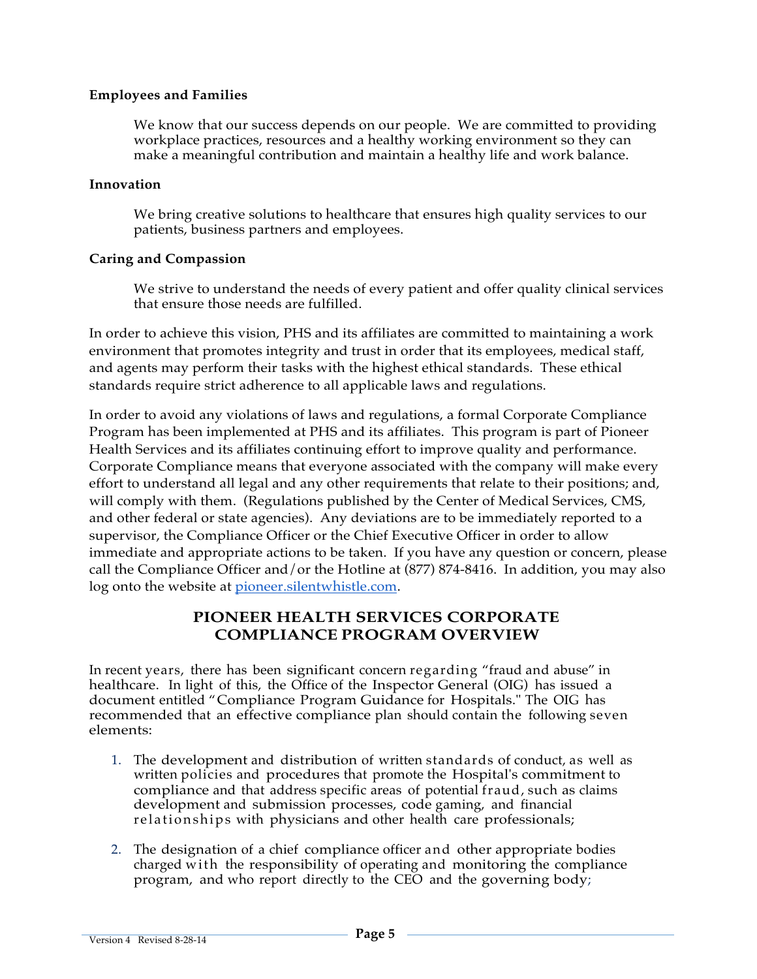#### **Employees and Families**

We know that our success depends on our people. We are committed to providing workplace practices, resources and a healthy working environment so they can make a meaningful contribution and maintain a healthy life and work balance.

#### **Innovation**

We bring creative solutions to healthcare that ensures high quality services to our patients, business partners and employees.

#### **Caring and Compassion**

We strive to understand the needs of every patient and offer quality clinical services that ensure those needs are fulfilled.

In order to achieve this vision, PHS and its affiliates are committed to maintaining a work environment that promotes integrity and trust in order that its employees, medical staff, and agents may perform their tasks with the highest ethical standards. These ethical standards require strict adherence to all applicable laws and regulations.

In order to avoid any violations of laws and regulations, a formal Corporate Compliance Program has been implemented at PHS and its affiliates. This program is part of Pioneer Health Services and its affiliates continuing effort to improve quality and performance. Corporate Compliance means that everyone associated with the company will make every effort to understand all legal and any other requirements that relate to their positions; and, will comply with them. (Regulations published by the Center of Medical Services, CMS, and other federal or state agencies). Any deviations are to be immediately reported to a supervisor, the Compliance Officer or the Chief Executive Officer in order to allow immediate and appropriate actions to be taken. If you have any question or concern, please call the Compliance Officer and/or the Hotline at (877) 874-8416. In addition, you may also log onto the website at pioneer.silentwhistle.com.

### **PIONEER HEALTH SERVICES CORPORATE COMPLIANCE PROGRAM OVERVIEW**

In recent years, there has been significant concern regarding "fraud and abuse" in healthcare. In light of this, the Office of the Inspector General (OIG) has issued a document entitled "Compliance Program Guidance for Hospitals." The OIG has recommended that an effective compliance plan should contain the following seven elements:

- 1. The development and distribution of written standards of conduct, as well as written policies and procedures that promote the Hospital's commitment to compliance and that address specific areas of potential fraud, such as claims development and submission processes, code gaming, and financial relationships with physicians and other health care professionals;
- 2. The designation of a chief compliance officer and other appropriate bodies charged with the responsibility of operating and monitoring the compliance program, and who report directly to the CEO and the governing body;

Version 4 Revised 8-28-14 **Page 5**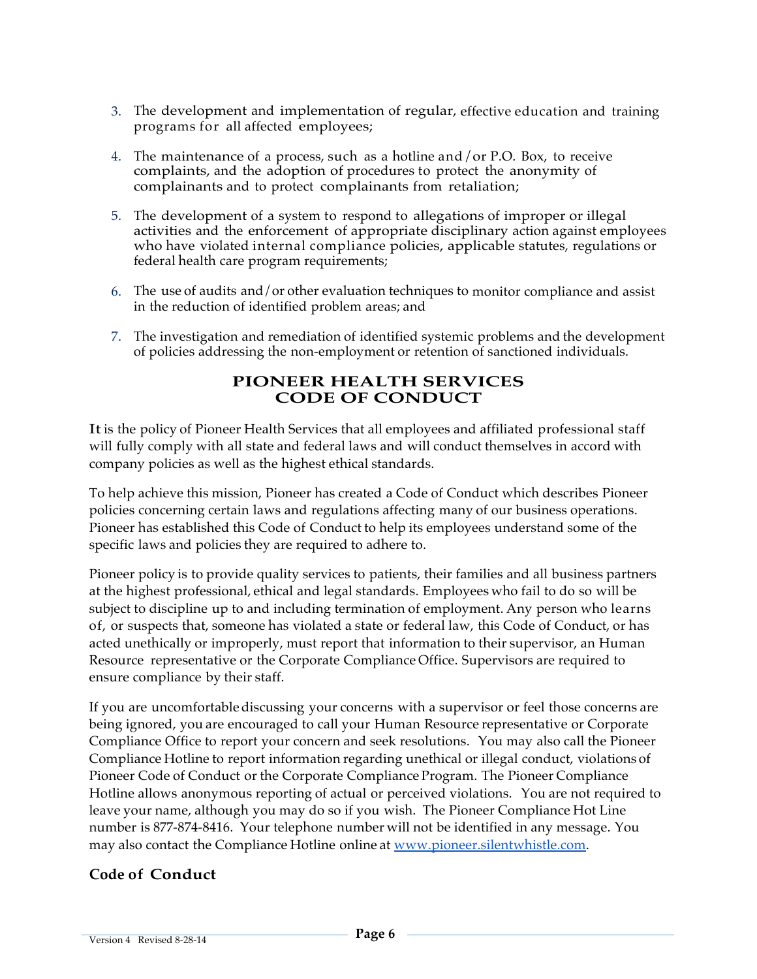- 3. The development and implementation of regular, effective education and training programs for all affected employees;
- 4. The maintenance of a process, such as a hotline and/or P.O. Box, to receive complaints, and the adoption of procedures to protect the anonymity of complainants and to protect complainants from retaliation;
- 5. The development of a system to respond to allegations of improper or illegal activities and the enforcement of appropriate disciplinary action against employees who have violated internal compliance policies, applicable statutes, regulations or federal health care program requirements;
- 6. The use of audits and/or other evaluation techniques to monitor compliance and assist in the reduction of identified problem areas; and
- 7. The investigation and remediation of identified systemic problems and the development of policies addressing the non-employment or retention of sanctioned individuals.

# **PIONEER HEALTH SERVICES CODE OF CONDUCT**

Itis the policy of Pioneer Health Services that all employees and affiliated professional staff will fully comply with all state and federal laws and will conduct themselves in accord with company policies as well as the highest ethical standards.

To help achieve this mission, Pioneer has created a Code of Conduct which describes Pioneer policies concerning certain laws and regulations affecting many of our business operations. Pioneer has established this Code of Conduct to help its employees understand some of the specific laws and policies they are required to adhere to.

Pioneer policy is to provide quality services to patients, their families and all business partners at the highest professional, ethical and legal standards. Employees who fail to do so will be subject to discipline up to and including termination of employment. Any person who learns of, or suspects that, someone has violated a state or federal law, this Code of Conduct, or has acted unethically or improperly, must report that information to their supervisor, an Human Resource representative or the Corporate Compliance Office. Supervisors are required to ensure compliance by their staff.

If you are uncomfortable discussing your concerns with a supervisor or feel those concerns are being ignored, you are encouraged to call your Human Resource representative or Corporate Compliance Office to report your concern and seek resolutions. You may also call the Pioneer Compliance Hotline to report information regarding unethical or illegal conduct, violations of Pioneer Code of Conduct or the Corporate Compliance Program. The Pioneer Compliance Hotline allows anonymous reporting of actual or perceived violations. You are not required to leave your name, although you may do so if you wish. The Pioneer Compliance Hot Line number is 877-874-8416. Your telephone number will not be identified in any message. You may also contact the Compliance Hotline online at www.pioneer.silentwhistle.com.

# **Code of Conduct**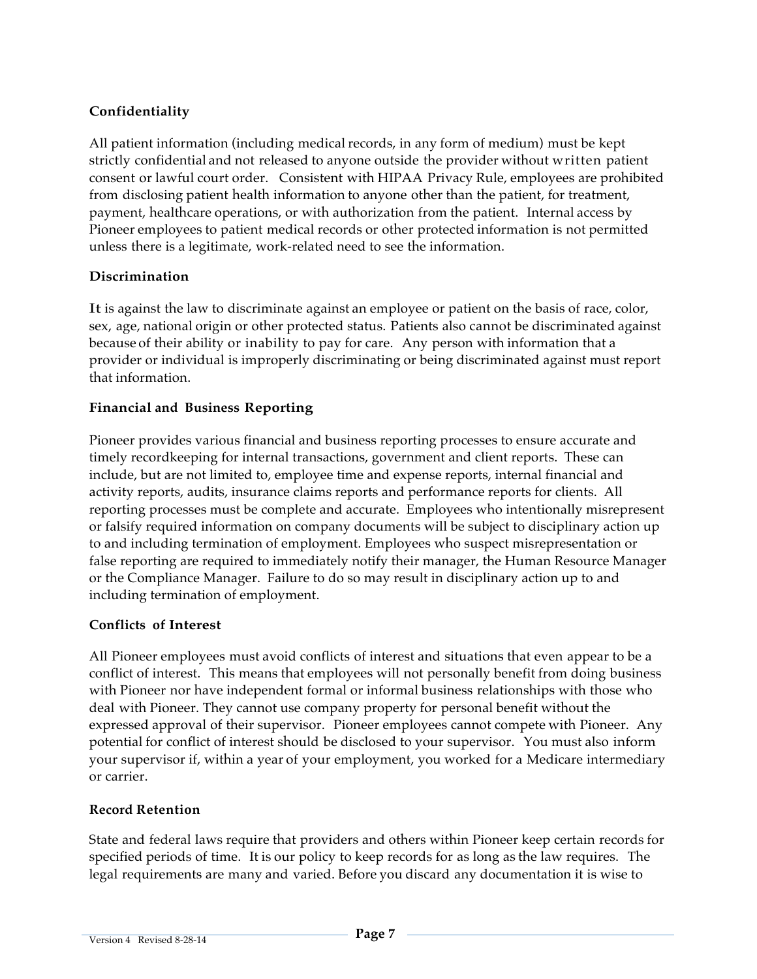# **Confidentiality**

All patient information (including medical records, in any form of medium) must be kept strictly confidential and not released to anyone outside the provider without written patient consent or lawful court order. Consistent with HIPAA Privacy Rule, employees are prohibited from disclosing patient health information to anyone other than the patient, for treatment, payment, healthcare operations, or with authorization from the patient. Internal access by Pioneer employees to patient medical records or other protected information is not permitted unless there is a legitimate, work-related need to see the information.

# **Discrimination**

It is against the law to discriminate against an employee or patient on the basis of race, color, sex, age, national origin or other protected status. Patients also cannot be discriminated against because of their ability or inability to pay for care. Any person with information that a provider or individual is improperly discriminating or being discriminated against must report that information.

# **Financial and Business Reporting**

Pioneer provides various financial and business reporting processes to ensure accurate and timely recordkeeping for internal transactions, government and client reports. These can include, but are not limited to, employee time and expense reports, internal financial and activity reports, audits, insurance claims reports and performance reports for clients. All reporting processes must be complete and accurate. Employees who intentionally misrepresent or falsify required information on company documents will be subject to disciplinary action up to and including termination of employment. Employees who suspect misrepresentation or false reporting are required to immediately notify their manager, the Human Resource Manager or the Compliance Manager. Failure to do so may result in disciplinary action up to and including termination of employment.

#### **Conflicts of Interest**

All Pioneer employees must avoid conflicts of interest and situations that even appear to be a conflict of interest. This means that employees will not personally benefit from doing business with Pioneer nor have independent formal or informal business relationships with those who deal with Pioneer. They cannot use company property for personal benefit without the expressed approval of their supervisor. Pioneer employees cannot compete with Pioneer. Any potential for conflict of interest should be disclosed to your supervisor. You must also inform your supervisor if, within a year of your employment, you worked for a Medicare intermediary or carrier.

# **Record Retention**

State and federal laws require that providers and others within Pioneer keep certain records for specified periods of time. It is our policy to keep records for as long as the law requires. The legal requirements are many and varied. Before you discard any documentation it is wise to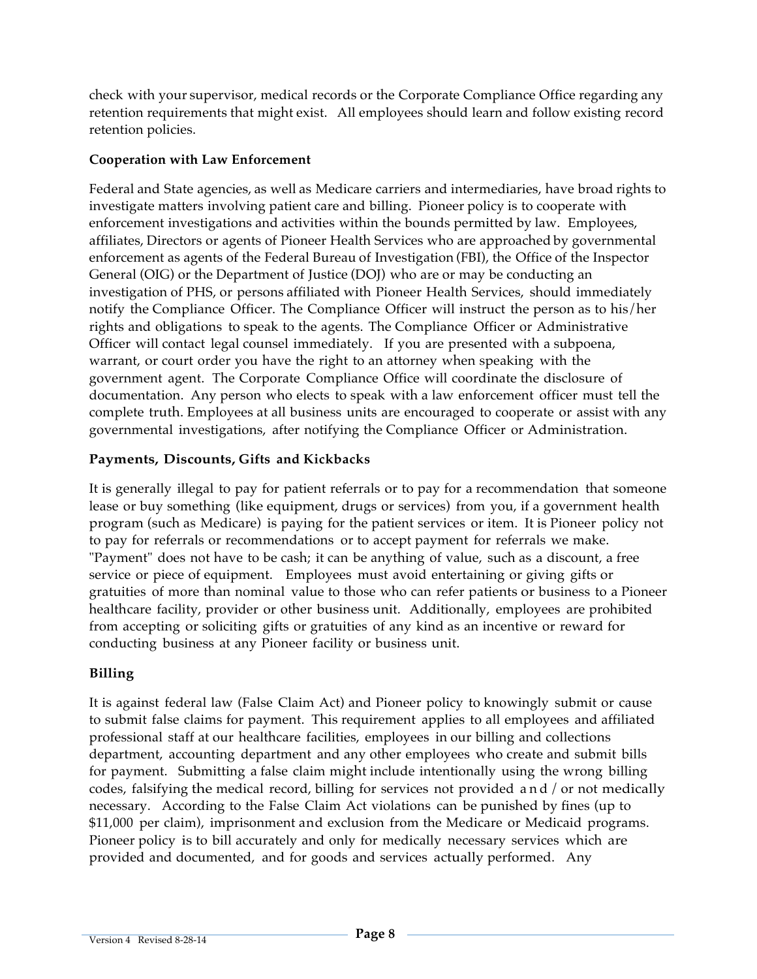check with your supervisor, medical records or the Corporate Compliance Office regarding any retention requirements that might exist. All employees should learn and follow existing record retention policies.

### **Cooperation with Law Enforcement**

Federal and State agencies, as well as Medicare carriers and intermediaries, have broad rights to investigate matters involving patient care and billing. Pioneer policy is to cooperate with enforcement investigations and activities within the bounds permitted by law. Employees, affiliates, Directors or agents of Pioneer Health Services who are approached by governmental enforcement as agents of the Federal Bureau of Investigation (FBI), the Office of the Inspector General (OIG) or the Department of Justice (DOJ) who are or may be conducting an investigation of PHS, or persons affiliated with Pioneer Health Services, should immediately notify the Compliance Officer. The Compliance Officer will instruct the person as to his/her rights and obligations to speak to the agents. The Compliance Officer or Administrative Officer will contact legal counsel immediately. If you are presented with a subpoena, warrant, or court order you have the right to an attorney when speaking with the government agent. The Corporate Compliance Office will coordinate the disclosure of documentation. Any person who elects to speak with a law enforcement officer must tell the complete truth. Employees at all business units are encouraged to cooperate or assist with any governmental investigations, after notifying the Compliance Officer or Administration.

# **Payments, Discounts, Gifts and Kickbacks**

It is generally illegal to pay for patient referrals or to pay for a recommendation that someone lease or buy something (like equipment, drugs or services) from you, if a government health program (such as Medicare) is paying for the patient services or item. It is Pioneer policy not to pay for referrals or recommendations or to accept payment for referrals we make. "Payment" does not have to be cash; it can be anything of value, such as a discount, a free service or piece of equipment. Employees must avoid entertaining or giving gifts or gratuities of more than nominal value to those who can refer patients or business to a Pioneer healthcare facility, provider or other business unit. Additionally, employees are prohibited from accepting or soliciting gifts or gratuities of any kind as an incentive or reward for conducting business at any Pioneer facility or business unit.

# **Billing**

It is against federal law (False Claim Act) and Pioneer policy to knowingly submit or cause to submit false claims for payment. This requirement applies to all employees and affiliated professional staff at our healthcare facilities, employees in our billing and collections department, accounting department and any other employees who create and submit bills for payment. Submitting a false claim might include intentionally using the wrong billing codes, falsifying the medical record, billing for services not provided and/ or not medically necessary. According to the False Claim Act violations can be punished by fines (up to \$11,000 per claim), imprisonment and exclusion from the Medicare or Medicaid programs. Pioneer policy is to bill accurately and only for medically necessary services which are provided and documented, and for goods and services actually performed. Any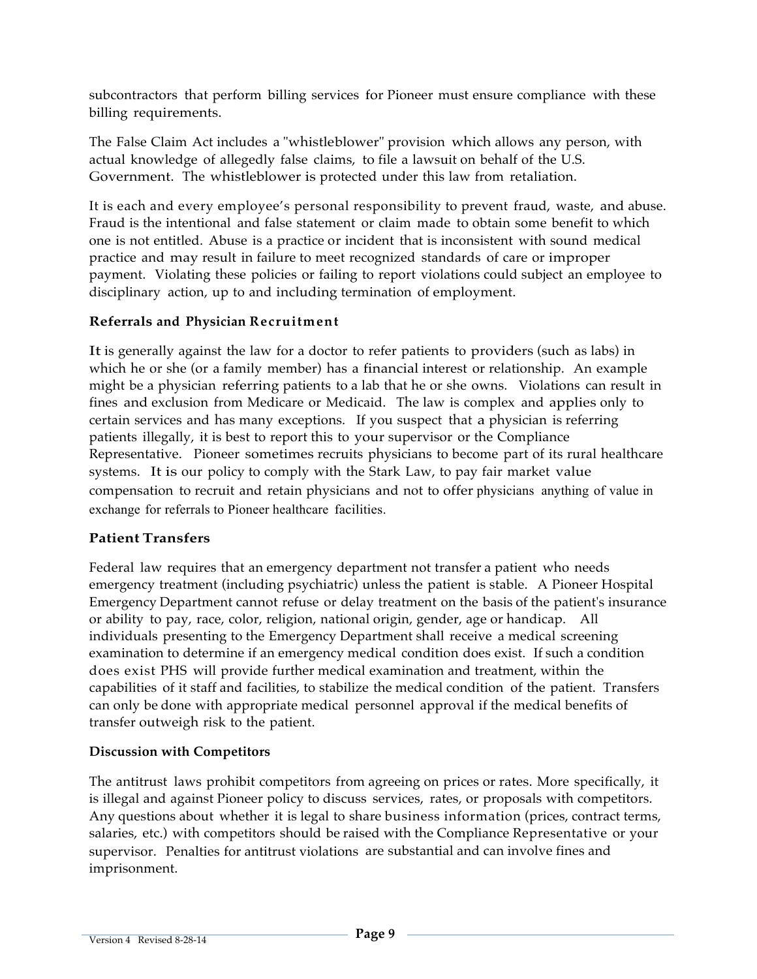subcontractors that perform billing services for Pioneer must ensure compliance with these billing requirements.

The False Claim Act includes a "whistleblower" provision which allows any person, with actual knowledge of allegedly false claims, to file a lawsuit on behalf of the U.S. Government. The whistleblower is protected under this law from retaliation.

It is each and every employee's personal responsibility to prevent fraud, waste, and abuse. Fraud is the intentional and false statement or claim made to obtain some benefit to which one is not entitled. Abuse is a practice or incident that is inconsistent with sound medical practice and may result in failure to meet recognized standards of care or improper payment. Violating these policies or failing to report violations could subject an employee to disciplinary action, up to and including termination of employment.

### **Referrals and Physician Recruitment**

It is generally against the law for a doctor to refer patients to providers (such as labs) in which he or she (or a family member) has a financial interest or relationship. An example might be a physician referring patients to a lab that he or she owns. Violations can result in fines and exclusion from Medicare or Medicaid. The law is complex and applies only to certain services and has many exceptions. If you suspect that a physician is referring patients illegally, it is best to report this to your supervisor or the Compliance Representative. Pioneer sometimes recruits physicians to become part of its rural healthcare systems. It is our policy to comply with the Stark Law, to pay fair market value compensation to recruit and retain physicians and not to offer physicians anything of value in exchange for referrals to Pioneer healthcare facilities.

# **Patient Transfers**

Federal law requires that an emergency department not transfer a patient who needs emergency treatment (including psychiatric) unless the patient is stable. A Pioneer Hospital Emergency Department cannot refuse or delay treatment on the basis of the patient's insurance or ability to pay, race, color, religion, national origin, gender, age or handicap. All individuals presenting to the Emergency Department shall receive a medical screening examination to determine if an emergency medical condition does exist. If such a condition does exist PHS will provide further medical examination and treatment, within the capabilities of it staff and facilities, to stabilize the medical condition of the patient. Transfers can only be done with appropriate medical personnel approval if the medical benefits of transfer outweigh risk to the patient.

#### **Discussion with Competitors**

The antitrust laws prohibit competitors from agreeing on prices or rates. More specifically, it is illegal and against Pioneer policy to discuss services, rates, or proposals with competitors. Any questions about whether it is legal to share business information (prices, contract terms, salaries, etc.) with competitors should be raised with the Compliance Representative or your supervisor. Penalties for antitrust violations are substantial and can involve fines and imprisonment.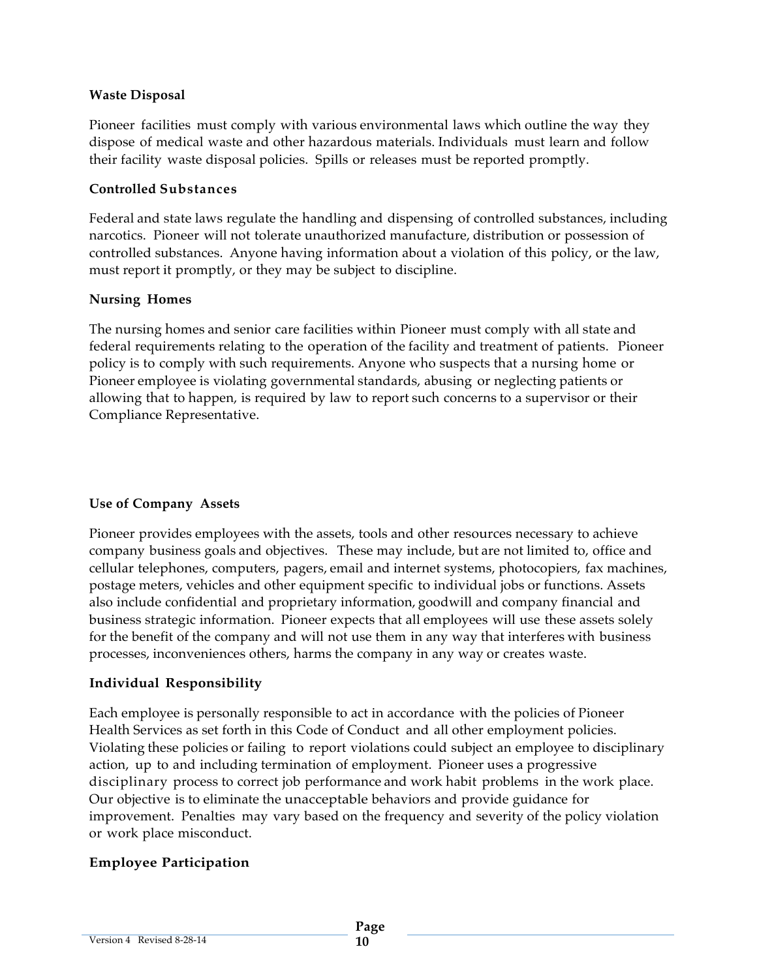#### **Waste Disposal**

Pioneer facilities must comply with various environmental laws which outline the way they dispose of medical waste and other hazardous materials. Individuals must learn and follow their facility waste disposal policies. Spills or releases must be reported promptly.

#### **Controlled Substances**

Federal and state laws regulate the handling and dispensing of controlled substances, including narcotics. Pioneer will not tolerate unauthorized manufacture, distribution or possession of controlled substances. Anyone having information about a violation of this policy, or the law, must report it promptly, or they may be subject to discipline.

#### **Nursing Homes**

The nursing homes and senior care facilities within Pioneer must comply with all state and federal requirements relating to the operation of the facility and treatment of patients. Pioneer policy is to comply with such requirements. Anyone who suspects that a nursing home or Pioneer employee is violating governmental standards, abusing or neglecting patients or allowing that to happen, is required by law to report such concerns to a supervisor or their Compliance Representative.

#### **Use of Company Assets**

Pioneer provides employees with the assets, tools and other resources necessary to achieve company business goals and objectives. These may include, but are not limited to, office and cellular telephones, computers, pagers, email and internet systems, photocopiers, fax machines, postage meters, vehicles and other equipment specific to individual jobs or functions. Assets also include confidential and proprietary information, goodwill and company financial and business strategic information. Pioneer expects that all employees will use these assets solely for the benefit of the company and will not use them in any way that interferes with business processes, inconveniences others, harms the company in any way or creates waste.

#### **Individual Responsibility**

Each employee is personally responsible to act in accordance with the policies of Pioneer Health Services as set forth in this Code of Conduct and all other employment policies. Violating these policies or failing to report violations could subject an employee to disciplinary action, up to and including termination of employment. Pioneer uses a progressive disciplinary process to correct job performance and work habit problems in the work place. Our objective is to eliminate the unacceptable behaviors and provide guidance for improvement. Penalties may vary based on the frequency and severity of the policy violation or work place misconduct.

# **Employee Participation**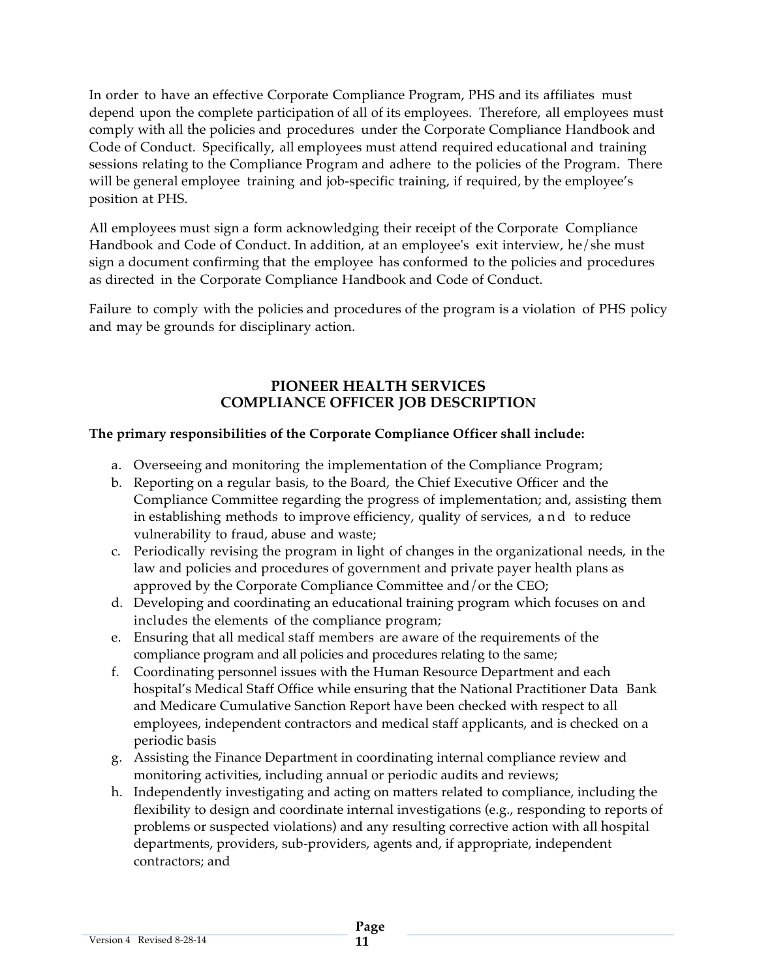In order to have an effective Corporate Compliance Program, PHS and its affiliates must depend upon the complete participation of all of its employees. Therefore, all employees must comply with all the policies and procedures under the Corporate Compliance Handbook and Code of Conduct. Specifically, all employees must attend required educational and training sessions relating to the Compliance Program and adhere to the policies of the Program. There will be general employee training and job-specific training, if required, by the employee's position at PHS.

All employees must sign a form acknowledging their receipt of the Corporate Compliance Handbook and Code of Conduct. In addition, at an employee's exit interview, he/she must sign a document confirming that the employee has conformed to the policies and procedures as directed in the Corporate Compliance Handbook and Code of Conduct.

Failure to comply with the policies and procedures of the program is a violation of PHS policy and may be grounds for disciplinary action.

#### **PIONEER HEALTH SERVICES COMPLIANCE OFFICER JOB DESCRIPTION**

### **The primary responsibilities of the Corporate Compliance Officer shall include:**

- a. Overseeing and monitoring the implementation of the Compliance Program;
- b. Reporting on a regular basis, to the Board, the Chief Executive Officer and the Compliance Committee regarding the progress of implementation; and, assisting them in establishing methods to improve efficiency, quality of services, and to reduce vulnerability to fraud, abuse and waste;
- c. Periodically revising the program in light of changes in the organizational needs, in the law and policies and procedures of government and private payer health plans as approved by the Corporate Compliance Committee and/or the CEO;
- d. Developing and coordinating an educational training program which focuses on and includes the elements of the compliance program;
- e. Ensuring that all medical staff members are aware of the requirements of the compliance program and all policies and procedures relating to the same;
- f. Coordinating personnel issues with the Human Resource Department and each hospital's Medical Staff Office while ensuring that the National Practitioner Data Bank and Medicare Cumulative Sanction Report have been checked with respect to all employees, independent contractors and medical staff applicants, and is checked on a periodic basis
- g. Assisting the Finance Department in coordinating internal compliance review and monitoring activities, including annual or periodic audits and reviews;
- h. Independently investigating and acting on matters related to compliance, including the flexibility to design and coordinate internal investigations (e.g., responding to reports of problems or suspected violations) and any resulting corrective action with all hospital departments, providers, sub-providers, agents and, if appropriate, independent contractors; and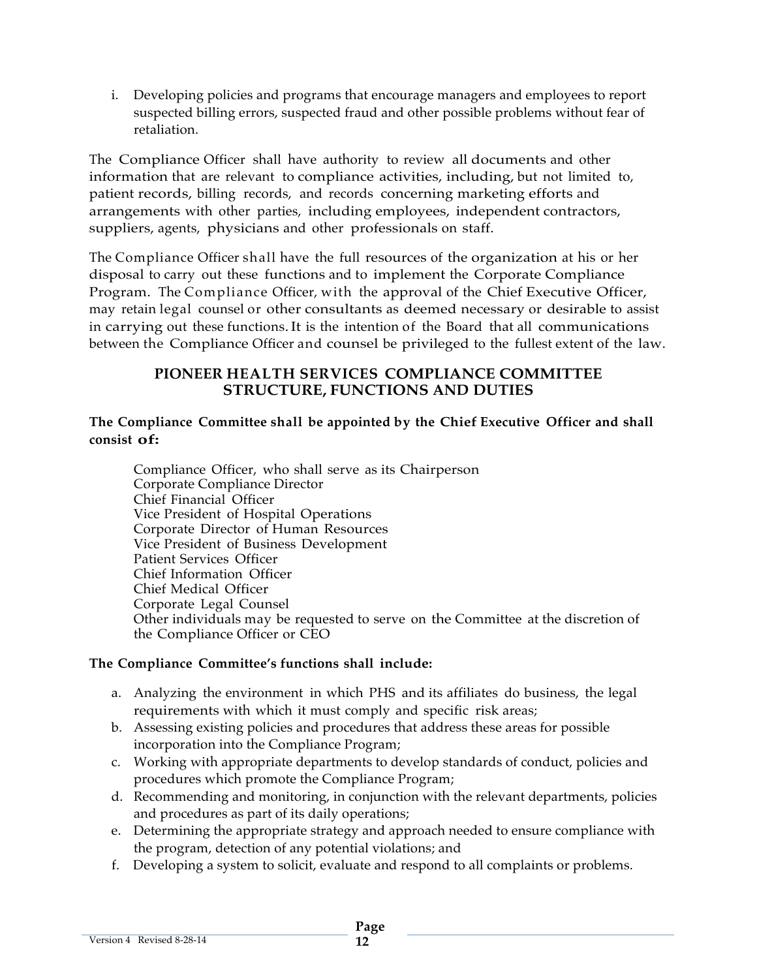i. Developing policies and programs that encourage managers and employees to report suspected billing errors, suspected fraud and other possible problems without fear of retaliation.

The Compliance Officer shall have authority to review all documents and other information that are relevant to compliance activities, including, but not limited to, patient records, billing records, and records concerning marketing efforts and arrangements with other parties, including employees, independent contractors, suppliers, agents, physicians and other professionals on staff.

The Compliance Officer shall have the full resources of the organization at his or her disposal to carry out these functions and to implement the Corporate Compliance Program. The Compliance Officer, with the approval of the Chief Executive Officer, may retain legal counsel or other consultants as deemed necessary or desirable to assist in carrying out these functions.It is the intention of the Board that all communications between the Compliance Officer and counsel be privileged to the fullest extent of the law.

### **PIONEER HEALTH SERVICES COMPLIANCE COMMITTEE STRUCTURE, FUNCTIONS AND DUTIES**

### **The Compliance Committee shall be appointed by the Chief Executive Officer and shall consist of:**

Compliance Officer, who shall serve as its Chairperson Corporate Compliance Director Chief Financial Officer Vice President of Hospital Operations Corporate Director of Human Resources Vice President of Business Development Patient Services Officer Chief Information Officer Chief Medical Officer Corporate Legal Counsel Other individuals may be requested to serve on the Committee at the discretion of the Compliance Officer or CEO

# **The Compliance Committee's functions shall include:**

- a. Analyzing the environment in which PHS and its affiliates do business, the legal requirements with which it must comply and specific risk areas;
- b. Assessing existing policies and procedures that address these areas for possible incorporation into the Compliance Program;
- c. Working with appropriate departments to develop standards of conduct, policies and procedures which promote the Compliance Program;
- d. Recommending and monitoring, in conjunction with the relevant departments, policies and procedures as part of its daily operations;
- e. Determining the appropriate strategy and approach needed to ensure compliance with the program, detection of any potential violations; and
- f. Developing a system to solicit, evaluate and respond to all complaints or problems.